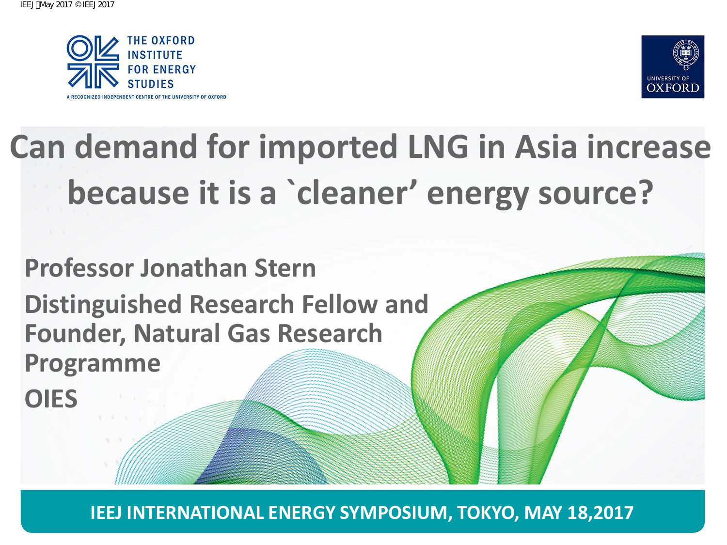



# **OXFORD INSTITUTE FOR ENERGY SCIENCES**<br> **Can demand for imported LNG in Asia increase**<br> **Decause it is a `cleaner' energy source?**<br>
Professor Jonathan Stern<br>
Distinguished Research Fellow and<br>
Programme<br>
OIES<br> **Can demand because it is a `cleaner' energy source?**

# **Professor Jonathan Stern Distinguished Research Fellow and Founder, Natural Gas Research Programme**

**OIES**

**IEEJ INTERNATIONAL ENERGY SYMPOSIUM, TOKYO, MAY 18,2017**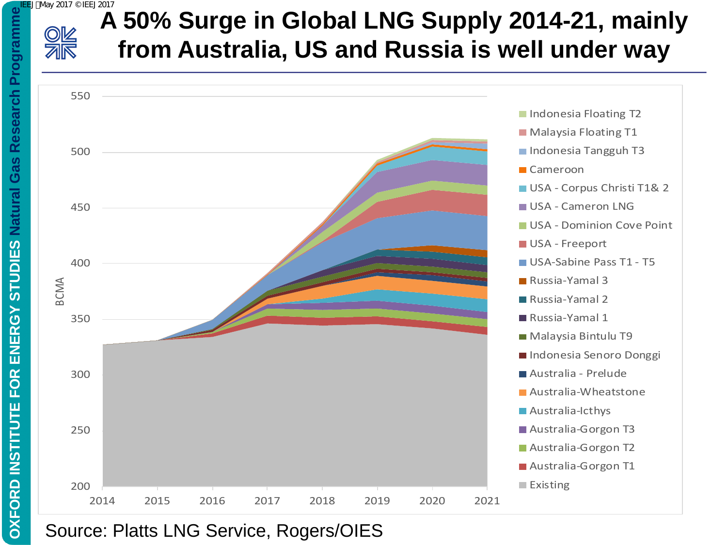

**OXFORD INSTITUTE FOR ENERGY STUDIES Natural Gas Research Programme**

**STUDIES** 

ENERGY

**FOR** 

**OXFORD INSTITUTE** 

Research

**Natural Gas** 

## **A 50% Surge in Global LNG Supply 2014-21, mainly from Australia, US and Russia is well under way**

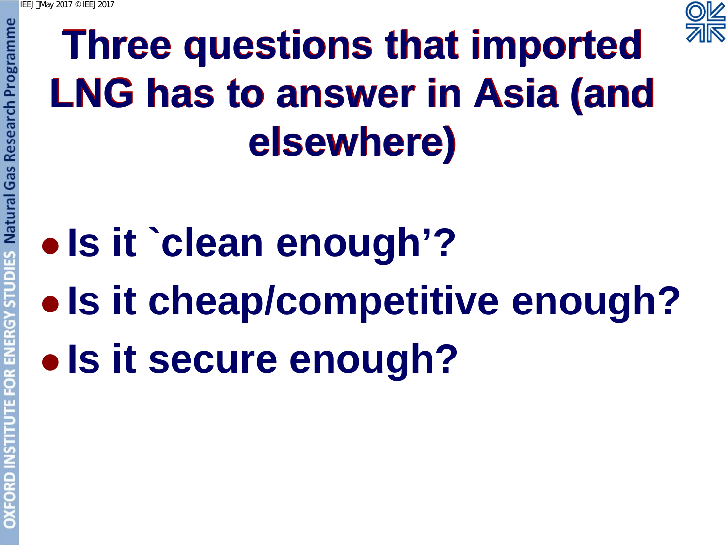

# **Three questions that imported LNG has to answer in Asia (and elsewhere)**

# **Natural Gas Research Programme Is it `clean enough'?**

- **Is it cheap/competitive enough?**
- **Is it secure enough?**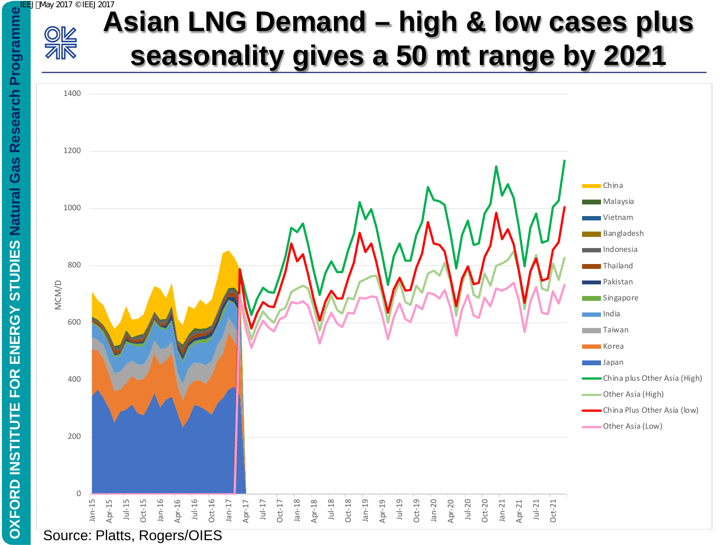

# **Asian LNG Demand – high & low cases plus seasonality gives a 50 mt range by 2021**

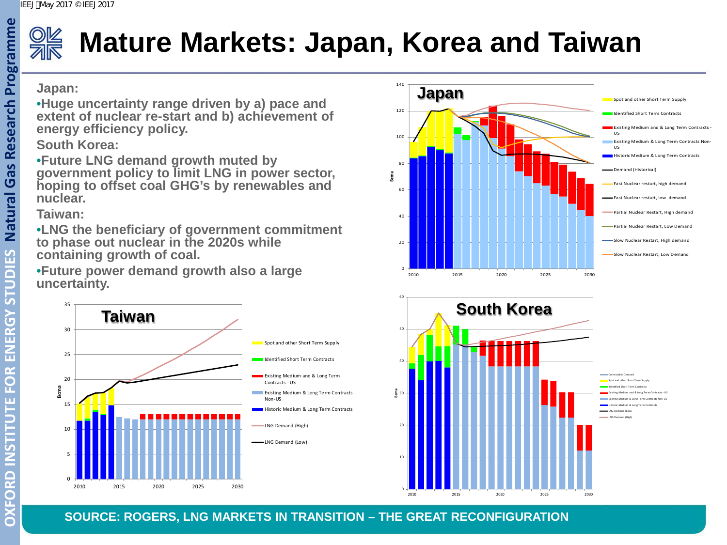

# **Mature Markets: Japan, Korea and Taiwan**

### **Japan:**

•**Huge uncertainty range driven by a) pace and extent of nuclear re-start and b) achievement of energy efficiency policy.**

### **South Korea:**

•**Future LNG demand growth muted by government policy to limit LNG in power sector, hoping to offset coal GHG's by renewables and nuclear.**

### **Taiwan:**

•**LNG the beneficiary of government commitment to phase out nuclear in the 2020s while containing growth of coal.**

•**Future power demand growth also a large uncertainty.** 







**SOURCE: ROGERS, LNG MARKETS IN TRANSITION – THE GREAT RECONFIGURATION**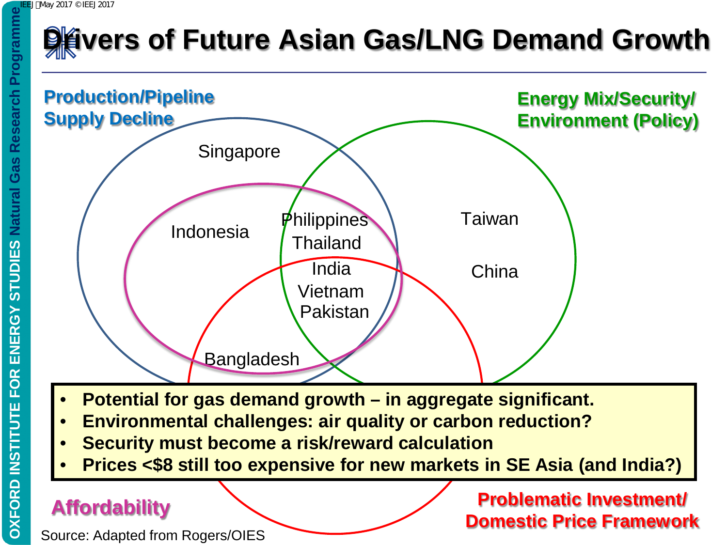# **Drivers of Future Asian Gas/LNG Demand Growth DEED May 2017 © IEEJ 2017**



- **Potential for gas demand growth in aggregate significant.**
- **Environmental challenges: air quality or carbon reduction?**
- **Security must become a risk/reward calculation**
- **Prices <\$8 still too expensive for new markets in SE Asia (and India?)**

### **Affordability**

Source: Adapted from Rogers/OIES

**Problematic Investment/ Domestic Price Framework**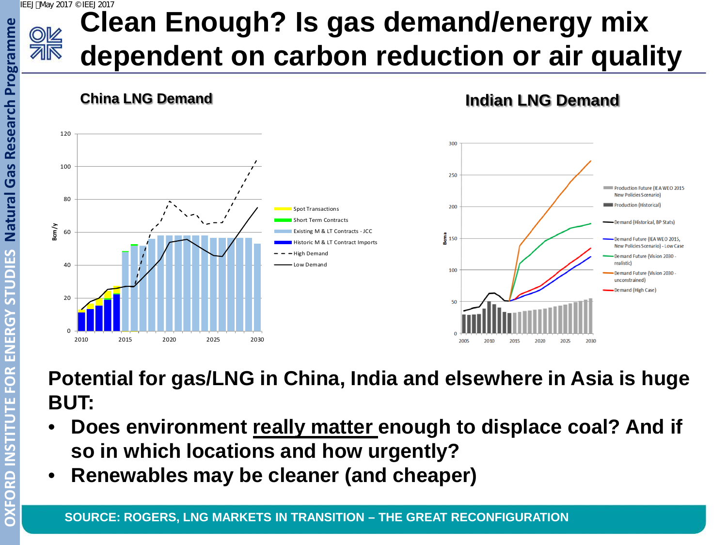### IEEJ:May 2017 © IEEJ2017



# **Clean Enough? Is gas demand/energy mix dependent on carbon reduction or air quality**

**China LNG Demand Indian LNG Demand**



**Potential for gas/LNG in China, India and elsewhere in Asia is huge BUT:**

- **Does environment really matter enough to displace coal? And if so in which locations and how urgently?**
- **Renewables may be cleaner (and cheaper)**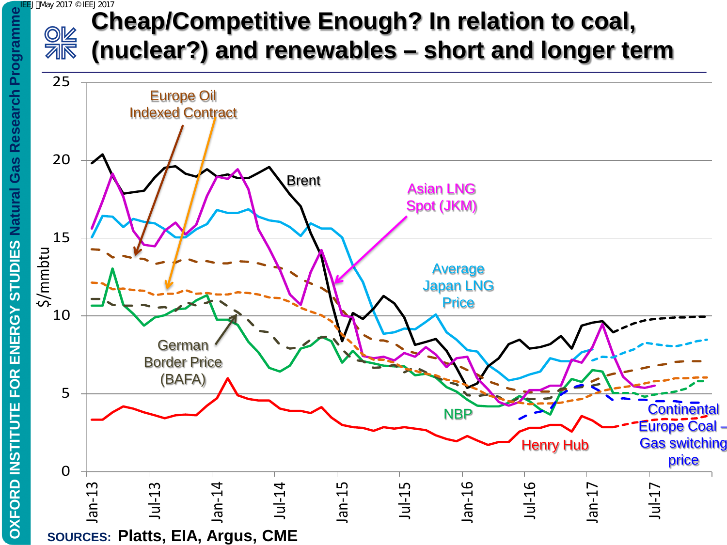### **DEED May 2017 © IEEJ 2017**<br> **IEE** OK (n<br> **IEE** OK (n<br>
25 **Cheap/Competitive Enough? In relation to coal, SIR (nuclear?) and renewables – short and longer term**

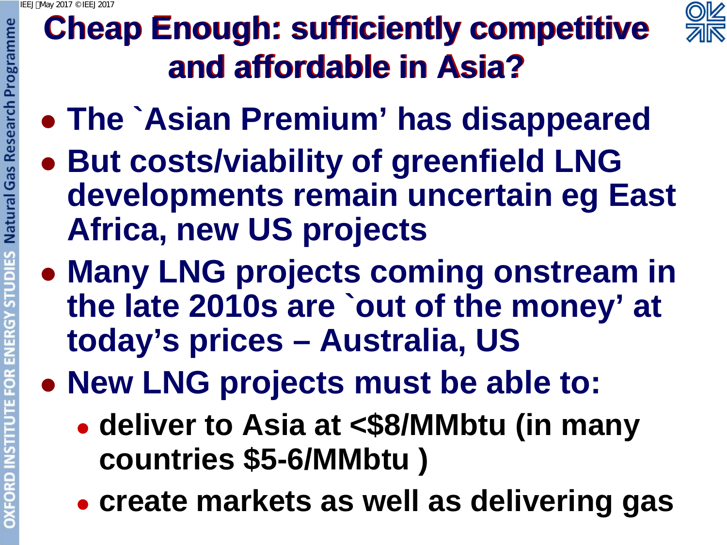

# **Cheap Enough: sufficiently competitive and affordable in Asia?**

- **The `Asian Premium' has disappeared**
- **Natural Gas Research Programme But costs/viability of greenfield LNG developments remain uncertain eg East Africa, new US projects**
- **Many LNG projects coming onstream in the late 2010s are `out of the money' at today's prices – Australia, US**
- **New LNG projects must be able to:** 
	- **deliver to Asia at <\$8/MMbtu (in many countries \$5-6/MMbtu )**
	- **create markets as well as delivering gas**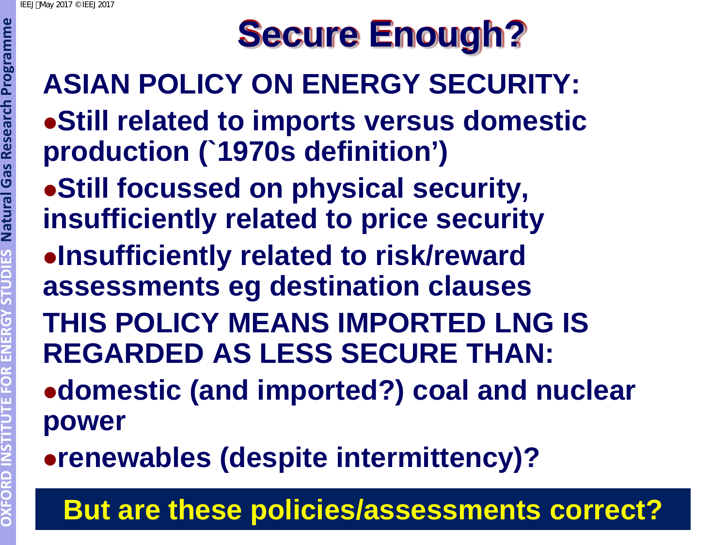# **Secure Enough?**

# **ASIAN POLICY ON ENERGY SECURITY: Still related to imports versus domestic production (`1970s definition')**

- **Still focussed on physical security, insufficiently related to price security**
- **Insufficiently related to risk/reward assessments eg destination clauses**
- **THIS POLICY MEANS IMPORTED LNG IS REGARDED AS LESS SECURE THAN:**
- **domestic (and imported?) coal and nuclear power**
- **renewables (despite intermittency)?**

# **But are these policies/assessments correct?**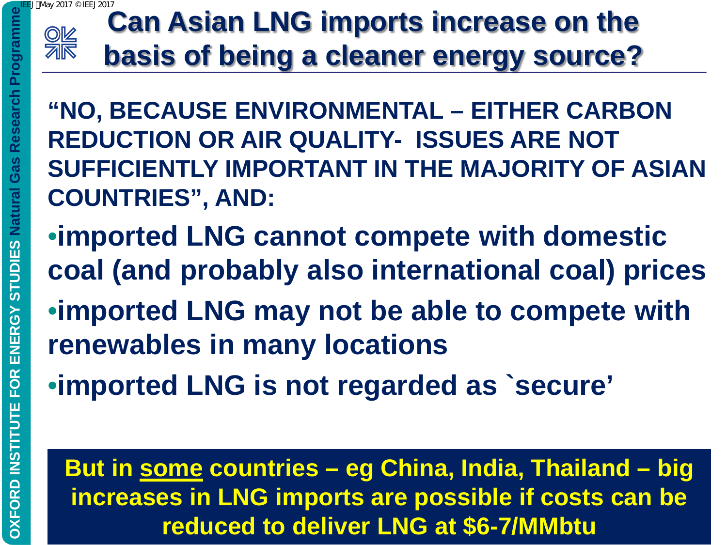

### **Can Asian LNG imports increase on the basis of being a cleaner energy source?** 2017 © IFF J201

**"NO, BECAUSE ENVIRONMENTAL – EITHER CARBON REDUCTION OR AIR QUALITY- ISSUES ARE NOT SUFFICIENTLY IMPORTANT IN THE MAJORITY OF ASIAN COUNTRIES", AND:**

- •**imported LNG cannot compete with domestic coal (and probably also international coal) prices**
- •**imported LNG may not be able to compete with renewables in many locations**
- •**imported LNG is not regarded as `secure'**

**But in some countries – eg China, India, Thailand – big increases in LNG imports are possible if costs can be reduced to deliver LNG at \$6-7/MMbtu**